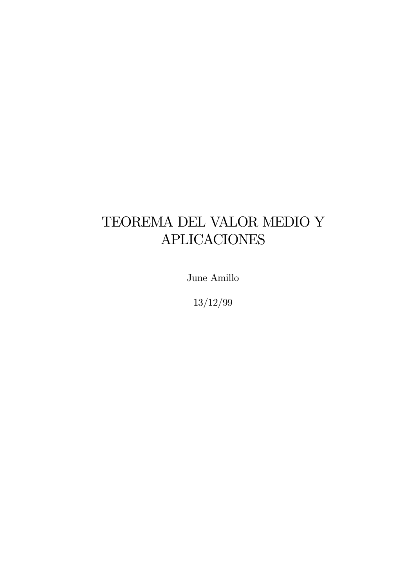# TEOREMA DEL VALOR MEDIO Y **APLICACIONES**

June Amillo

 $13/12/99$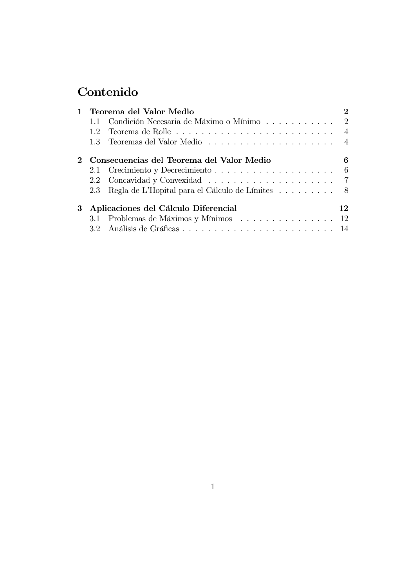## Contenido

| $\mathbf{1}$ | Teorema del Valor Medio                   |                                                     |                |
|--------------|-------------------------------------------|-----------------------------------------------------|----------------|
|              |                                           |                                                     |                |
|              | 1.2                                       |                                                     | $\overline{4}$ |
|              |                                           |                                                     |                |
|              | Consecuencias del Teorema del Valor Medio |                                                     | 6              |
|              |                                           |                                                     |                |
|              | 2.2                                       |                                                     |                |
|              |                                           | 2.3 Regla de L'Hopital para el Cálculo de Límites 8 |                |
| 3            | Aplicaciones del Cálculo Diferencial      |                                                     |                |
|              |                                           | 3.1 Problemas de Máximos y Mínimos  12              |                |
|              |                                           |                                                     |                |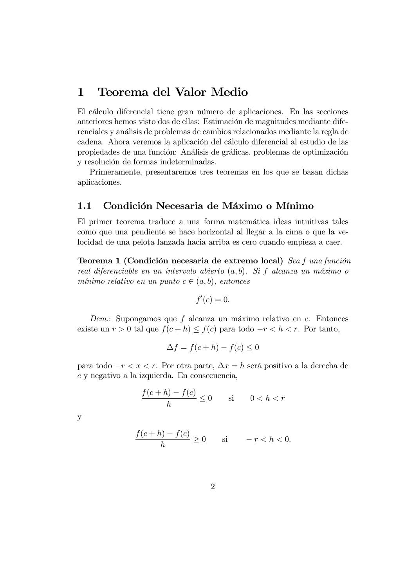### 1 Teorema del Valor Medio

El cálculo diferencial tiene gran número de aplicaciones. En las secciones anteriores hemos visto dos de ellas: Estimación de magnitudes mediante diferenciales y análisis de problemas de cambios relacionados mediante la regla de cadena. Ahora veremos la aplicación del cálculo diferencial al estudio de las propiedades de una función: Análisis de gráficas, problemas de optimización y resolución de formas indeterminadas.

Primeramente, presentaremos tres teoremas en los que se basan dichas aplicaciones.

#### 1.1 Condición Necesaria de Máximo o Mínimo

El primer teorema traduce a una forma matemática ideas intuitivas tales como que una pendiente se hace horizontal al llegar a la cima o que la velocidad de una pelota lanzada hacia arriba es cero cuando empieza a caer.

Teorema 1 (Condición necesaria de extremo local)  $\textit{S}e$ a función real diferenciable en un intervalo abierto  $(a, b)$ . Si f alcanza un máximo o mínimo relativo en un punto  $c \in (a, b)$ , entonces

$$
f'(c)=0.
$$

Dem.: Supongamos que f alcanza un máximo relativo en c. Entonces existe un  $r > 0$  tal que  $f(c+h) \leq f(c)$  para todo  $-r < h < r$ . Por tanto,

$$
\Delta f = f(c+h) - f(c) \le 0
$$

para todo  $-r < x < r$ . Por otra parte,  $\Delta x = h$  será positivo a la derecha de  $c$  y negativo a la izquierda. En consecuencia,

$$
\frac{f(c+h) - f(c)}{h} \le 0 \qquad \text{si} \qquad 0 < h < r
$$

 $\mathbf{y}$ 

$$
\frac{f(c+h)-f(c)}{h} \ge 0 \quad \text{si} \quad -r < h < 0.
$$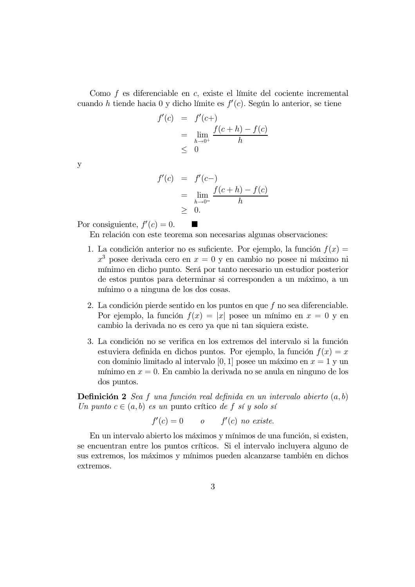Como f es diferenciable en c, existe el límite del cociente incremental cuando h tiende hacia 0 y dicho límite es  $f'(c)$ . Según lo anterior, se tiene

$$
f'(c) = f'(c+)
$$
  
=  $\lim_{h \to 0^+} \frac{f(c+h) - f(c)}{h}$   
 $\leq 0$ 

 $\mathbf{y}$ 

$$
f'(c) = f'(c-)
$$
  
=  $\lim_{h \to 0^-} \frac{f(c+h) - f(c)}{h}$   
 $\geq 0.$ 

Por consiguiente,  $f'(c) = 0$ .

En relación con este teorema son necesarias algunas observaciones:

- 1. La condición anterior no es suficiente. Por ejemplo, la función  $f(x) =$  $x<sup>3</sup>$  posee derivada cero en  $x = 0$  y en cambio no posee ni máximo ni mínimo en dicho punto. Será por tanto necesario un estudior posterior de estos puntos para determinar si corresponden a un máximo, a un mínimo o a ninguna de los dos cosas.
- 2. La condición pierde sentido en los puntos en que f no sea diferenciable. Por ejemplo, la función  $f(x) = |x|$  posee un mínimo en  $x = 0$  y en cambio la derivada no es cero ya que ni tan siquiera existe.
- 3. La condición no se verifica en los extremos del intervalo si la función estuviera definida en dichos puntos. Por ejemplo, la función  $f(x) = x$ con dominio limitado al intervalo [0, 1] posee un máximo en  $x = 1$  y un mínimo en  $x = 0$ . En cambio la derivada no se anula en ninguno de los dos puntos.

**Definición 2** Sea f una función real definida en un intervalo abierto  $(a, b)$ Un punto  $c \in (a, b)$  es un punto crítico de f sí y solo sí

$$
f'(c) = 0 \qquad o \qquad f'(c) \ \text{no \ exists.}
$$

En un intervalo abierto los máximos y mínimos de una función, si existen, se encuentran entre los puntos críticos. Si el intervalo incluyera alguno de sus extremos, los máximos y mínimos pueden alcanzarse también en dichos extremos.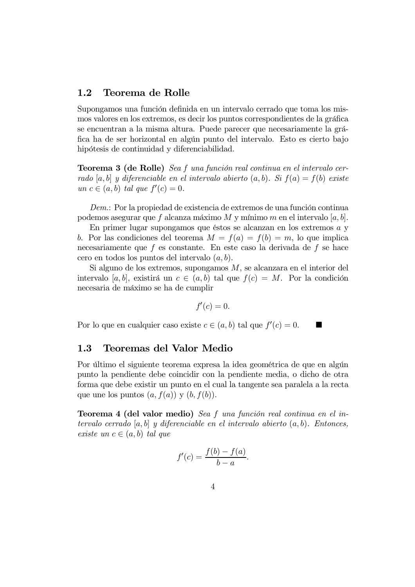#### 1.2 Teorema de Rolle

Supongamos una función definida en un intervalo cerrado que toma los mismos valores en los extremos, es decir los puntos correspondientes de la gráfica se encuentran a la misma altura. Puede parecer que necesariamente la gráfica ha de ser horizontal en algún punto del intervalo. Esto es cierto bajo hipótesis de continuidad y diferenciabilidad.

**Teorema 3 (de Rolle)** Sea f una función real continua en el intervalo cerrado [a, b] y diferenciable en el intervalo abierto  $(a, b)$ . Si  $f(a) = f(b)$  existe un  $c \in (a, b)$  tal que  $f'(c) = 0$ .

 $Dem:$  Por la propiedad de existencia de extremos de una función continua podemos asegurar que f alcanza máximo M y mínimo m en el intervalo [a, b].

En primer lugar supongamos que éstos se alcanzan en los extremos  $a$  y b. Por las condiciones del teorema  $M = f(a) = f(b) = m$ , lo que implica necesariamente que  $f$  es constante. En este caso la derivada de  $f$  se hace cero en todos los puntos del intervalo  $(a, b)$ .

Si alguno de los extremos, supongamos  $M$ , se alcanzara en el interior del intervalo [a, b], existirá un  $c \in (a, b)$  tal que  $f(c) = M$ . Por la condición necesaria de máximo se ha de cumplir

$$
f'(c)=0.
$$

Por lo que en cualquier caso existe  $c \in (a, b)$  tal que  $f'(c) = 0$ .

#### 1.3 Teoremas del Valor Medio

Por último el siguiente teorema expresa la idea geométrica de que en algún punto la pendiente debe coincidir con la pendiente media, o dicho de otra forma que debe existir un punto en el cual la tangente sea paralela a la recta que une los puntos  $(a, f(a))$  y  $(b, f(b))$ .

**Teorema 4 (del valor medio)** Sea f una función real continua en el intervalo cerrado [a, b] y diferenciable en el intervalo abierto  $(a, b)$ . Entonces, existe un  $c \in (a, b)$  tal que

$$
f'(c) = \frac{f(b) - f(a)}{b - a}.
$$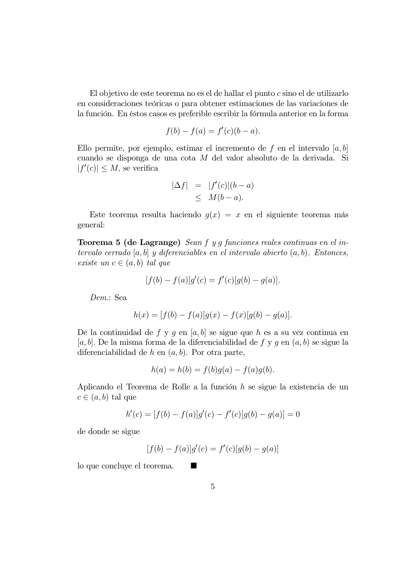El objetivo de este teorema no es el de hallar el punto  $c$  sino el de utilizarlo en consideraciones teóricas o para obtener estimaciones de las variaciones de la función. En éstos casos es preferible escribir la fórmula anterior en la forma

$$
f(b) - f(a) = f'(c)(b - a).
$$

Ello permite, por ejemplo, estimar el incremento de f en el intervalo  $[a, b]$ cuando se disponga de una cota  $M$  del valor absoluto de la derivada. Si  $|f'(c)| \leq M$ , se verifica

$$
|\Delta f| = |f'(c)|(b-a) \leq M(b-a).
$$

Este teorema resulta haciendo  $g(x) = x$  en el siguiente teorema más general:

**Teorema 5 (de Lagrange)** Sean f y g funciones reales continuas en el intervalo cerrado  $[a, b]$  y diferenciables en el intervalo abierto  $(a, b)$ . Entonces, existe un  $c \in (a, b)$  tal que

$$
[f(b) - f(a)]g'(c) = f'(c)[g(b) - g(a)].
$$

Dem.: Sea

$$
h(x) = [f(b) - f(a)]g(x) - f(x)[g(b) - g(a)].
$$

De la continuidad de f y g en [a, b] se sigue que h es a su vez continua en  $[a, b]$ . De la misma forma de la diferenciabilidad de f y q en  $(a, b)$  se sigue la diferenciabilidad de  $h$  en  $(a, b)$ . Por otra parte,

$$
h(a) = h(b) = f(b)g(a) - f(a)g(b).
$$

Aplicando el Teorema de Rolle a la función h se sigue la existencia de un  $c \in (a, b)$  tal que

$$
h'(c) = [f(b) - f(a)]g'(c) - f'(c)[g(b) - g(a)] = 0
$$

de donde se sigue

$$
[f(b) - f(a)]g'(c) = f'(c)[g(b) - g(a)]
$$

 $\log$  to que concluye el teorema.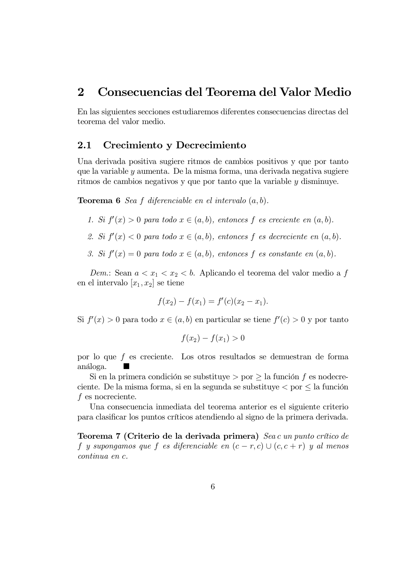## 2 Consecuencias del Teorema del Valor Medio

En las siguientes secciones estudiaremos diferentes consecuencias directas del teorema del valor medio.

#### 2.1 Crecimiento y Decrecimiento

Una derivada positiva sugiere ritmos de cambios positivos y que por tanto que la variable  $y$  aumenta. De la misma forma, una derivada negativa sugiere ritmos de cambios negativos y que por tanto que la variable  $\gamma$  disminuye.

**Teorema 6** Sea f diferenciable en el intervalo  $(a, b)$ .

- 1. Si  $f'(x) > 0$  para todo  $x \in (a, b)$ , entonces f es creciente en  $(a, b)$ .
- 2. Si  $f'(x) < 0$  para todo  $x \in (a, b)$ , entonces f es decreciente en  $(a, b)$ .
- 3. Si  $f'(x) = 0$  para todo  $x \in (a, b)$ , entonces f es constante en  $(a, b)$ .

Dem: Sean  $a < x_1 < x_2 < b$ . Aplicando el teorema del valor medio a f en el intervalo  $[x_1, x_2]$  se tiene

$$
f(x_2) - f(x_1) = f'(c)(x_2 - x_1).
$$

Si  $f'(x) > 0$  para todo  $x \in (a, b)$  en particular se tiene  $f'(c) > 0$  y por tanto

$$
f(x_2) - f(x_1) > 0
$$

por lo que f es creciente. Los otros resultados se demuestran de forma análoga.  $\blacksquare$ 

Si en la primera condición se substituye  $\geq$  por  $\geq$  la función f es nodecreciente. De la misma forma, si en la segunda se substituye  $\lt$  por  $\leq$  la función  $f$  es nocreciente.

Una consecuencia inmediata del teorema anterior es el siguiente criterio para clasificar los puntos críticos atendiendo al signo de la primera derivada.

**Teorema 7 (Criterio de la derivada primera)** Seac un punto crítico de f y supongamos que f es diferenciable en  $(c - r, c) \cup (c, c + r)$  y al menos  $\emph{continua}$  en  $\emph{c}$ .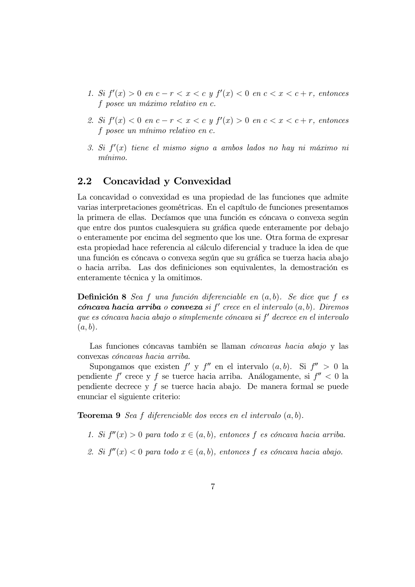- 1. Si  $f'(x) > 0$  en  $c-r < x < c$  y  $f'(x) < 0$  en  $c < x < c+r$ , entonces  $\epsilon$  posee un máximo relativo en  $\epsilon$ .
- 2. Si  $f'(x) < 0$  en  $c-r < x < c$  y  $f'(x) > 0$  en  $c < x < c+r$ , entonces f posee un mínimo relativo en  $c$ .
- 3. Si  $f'(x)$  tiene el mismo signo a ambos lados no hay ni máximo ni  $m\n$ {inimo.}

#### 2.2 Concavidad y Convexidad

La concavidad o convexidad es una propiedad de las funciones que admite varias interpretaciones geométricas. En el capítulo de funciones presentamos la primera de ellas. Decíamos que una función es cóncava o convexa según que entre dos puntos cualesquiera su gráfica quede enteramente por debajo o enteramente por encima del segmento que los une. Otra forma de expresar esta propiedad hace referencia al cálculo diferencial y traduce la idea de que una función es cóncava o convexa según que su gráfica se tuerza hacia abajo o hacia arriba. Las dos definiciones son equivalentes, la demostración es enteramente técnica y la omitimos.

**Definición 8** Sea f una función diferenciable en  $(a, b)$ . Se dice que f es  $f{co}ncava hacia arriba o conveza si f' crece en el intervalo (a, b). Diremos$ que es cóncava hacia abajo o símplemente cóncava si  $f'$  decrece en el intervalo  $(a, b)$ .

Las funciones cóncavas también se llaman *cóncavas hacia abajo* y las convexas cóncavas hacia arriba.

Supongamos que existen  $f'$  y  $f''$  en el intervalo  $(a, b)$ . Si  $f'' > 0$  la pendiente  $f'$  crece y f se tuerce hacia arriba. Análogamente, si  $f'' < 0$  la pendiente decrece y f se tuerce hacia abajo. De manera formal se puede enunciar el siguiente criterio:

**Teorema 9** Sea f diferenciable dos veces en el intervalo  $(a, b)$ .

- 1. Si  $f''(x) > 0$  para todo  $x \in (a, b)$ , entonces f es cóncava hacia arriba.
- 2. Si  $f''(x) < 0$  para todo  $x \in (a, b)$ , entonces f es cóncava hacia abajo.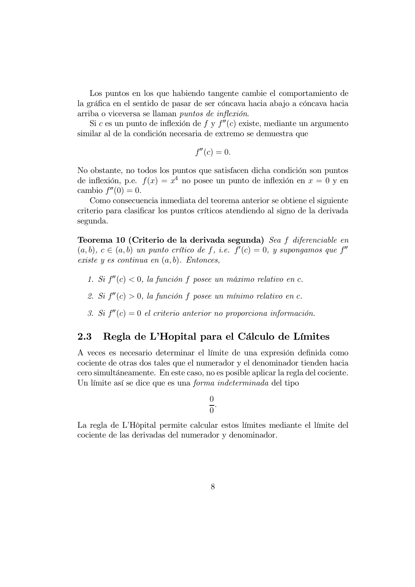Los puntos en los que habiendo tangente cambie el comportamiento de la gráfica en el sentido de pasar de ser cóncava hacia abajo a cóncava hacia arriba o viceversa se llaman *puntos de inflexión*.

Si c es un punto de inflexión de f y  $f''(c)$  existe, mediante un argumento similar al de la condición necesaria de extremo se demuestra que

$$
f''(c) = 0.
$$

No obstante, no todos los puntos que satisfacen dicha condición son puntos de inflexión, p.e.  $f(x) = x^4$  no posee un punto de inflexión en  $x = 0$  y en cambio  $f''(0) = 0$ .

Como consecuencia inmediata del teorema anterior se obtiene el siguiente criterio para clasificar los puntos críticos atendiendo al signo de la derivada segunda.

Teorema 10 (Criterio de la derivada segunda) Sea f diferenciable en  $(a, b), c \in (a, b)$  un punto crítico de f, i.e.  $f'(c) = 0$ , y supongamos que f'' existe y es continua en  $(a, b)$ . Entonces,

- 1. Si  $f''(c) < 0$ , la función f posee un máximo relativo en c.
- 2. Si  $f''(c) > 0$ , la función f posee un mínimo relativo en c.
- 3. Si  $f''(c) = 0$  el criterio anterior no proporciona información.

## 2.3 Regla de L'Hopital para el Cálculo de Límites

A yeces es necesario determinar el límite de una expresión definida como fraction general frameword graduate graduate graduate de otras dos tales que el numerador y el denominador tienden hacia for example for the state case, no esposible aplicar la regla del cociente. Un límite así se dice que es una *forma indeterminada* del tipo

$$
\frac{0}{0}.
$$

La regla de L'Hôpital permite calcular estos límites mediante el límite del cociente de las derivadas del numerador y denominador.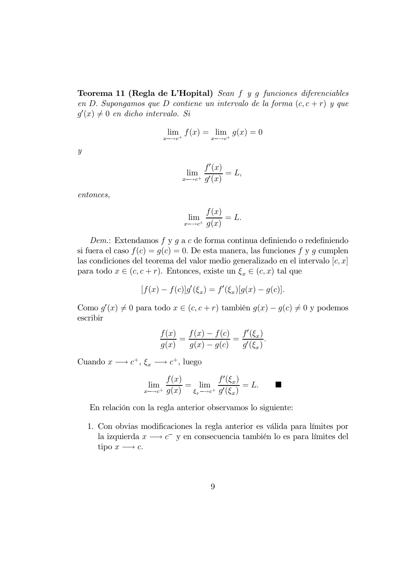Teorema 11 (Regla de L'Hopital) Sean  $f$   $y$   $g$  funciones diferenciables en D. Supongamos que D contiene un intervalo de la forma  $(c, c + r)$  y que  $q'(x) \neq 0$  en dicho intervalo. Si

$$
\lim_{x \to c^+} f(x) = \lim_{x \to c^+} g(x) = 0
$$

 $\boldsymbol{y}$ 

$$
\lim_{x \to c^+} \frac{f'(x)}{g'(x)} = L,
$$

entonces.

$$
\lim_{x \to c^{+}} \frac{f(x)}{g(x)} = L.
$$

 $Dem.$  Extendamos  $f$ y  $g$ a $c$ de forma continua definiendo o redefiniendo si fuera el caso  $f(c) = g(c) = 0$ . De esta manera, las funciones f y g cumplen las condiciones del teorema del valor medio generalizado en el intervalo  $[c, x]$ para todo  $x \in (c, c + r)$ . Entonces, existe un  $\xi_x \in (c, x)$  tal que

$$
[f(x) - f(c)]g'(\xi_x) = f'(\xi_x)[g(x) - g(c)].
$$

Como  $g'(x) \neq 0$  para todo  $x \in (c, c+r)$  también  $g(x) - g(c) \neq 0$  y podemos escribir

$$
\frac{f(x)}{g(x)} = \frac{f(x) - f(c)}{g(x) - g(c)} = \frac{f'(\xi_x)}{g'(\xi_x)}.
$$

Cuando  $x \longrightarrow c^+, \xi_x \longrightarrow c^+,$  luego

$$
\lim_{x \to c^+} \frac{f(x)}{g(x)} = \lim_{\xi_x \to c^+} \frac{f'(\xi_x)}{g'(\xi_x)} = L. \qquad \blacksquare
$$

En relación con la regla anterior observamos lo siguiente:

1. Con obvias modificaciones la regla anterior es válida para límites por la izquierda  $x \longrightarrow c^-$  y en consecuencia también lo es para límites del tipo  $x \rightarrow c$ .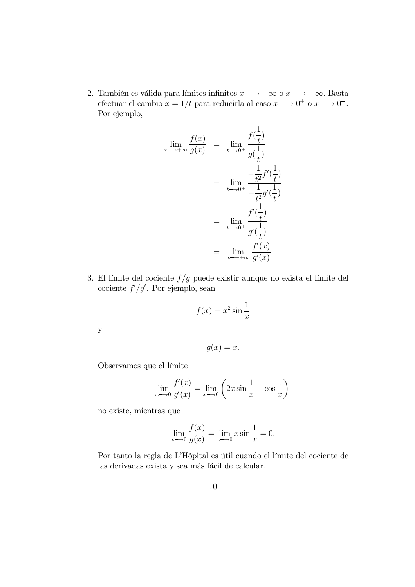2. También es válida para límites infinitos $x \longrightarrow +\infty$ o $x \longrightarrow -\infty$ . Basta efectuar el cambio  $x = 1/t$  para reducirla al caso  $x \longrightarrow 0^+$  o  $x \longrightarrow 0^-$ . Por ejemplo,

$$
\lim_{x \to +\infty} \frac{f(x)}{g(x)} = \lim_{t \to 0^+} \frac{f(\frac{1}{t})}{g(\frac{1}{t})}
$$
\n
$$
= \lim_{t \to 0^+} \frac{-\frac{1}{t^2}f'(\frac{1}{t})}{-\frac{1}{t^2}g'(\frac{1}{t})}
$$
\n
$$
= \lim_{t \to 0^+} \frac{f'(\frac{1}{t})}{g'(\frac{1}{t})}
$$
\n
$$
= \lim_{x \to +\infty} \frac{f'(x)}{g'(x)}.
$$

3. El límite del cociente  $f/g$  puede existir aunque no exista el límite del cociente  $f'/g'$ . Por ejemplo, sean

$$
f(x) = x^2 \sin \frac{1}{x}
$$

 $\mathbf{y}$ 

$$
g(x) = x.
$$

Observamos que el límite

$$
\lim_{x \to 0} \frac{f'(x)}{g'(x)} = \lim_{x \to 0} \left( 2x \sin \frac{1}{x} - \cos \frac{1}{x} \right)
$$

no existe, mientras que

$$
\lim_{x \to 0} \frac{f(x)}{g(x)} = \lim_{x \to 0} x \sin \frac{1}{x} = 0.
$$

Por tanto la regla de L'Hôpital es útil cuando el límite del cociente de las derivadas exista y sea más fácil de calcular.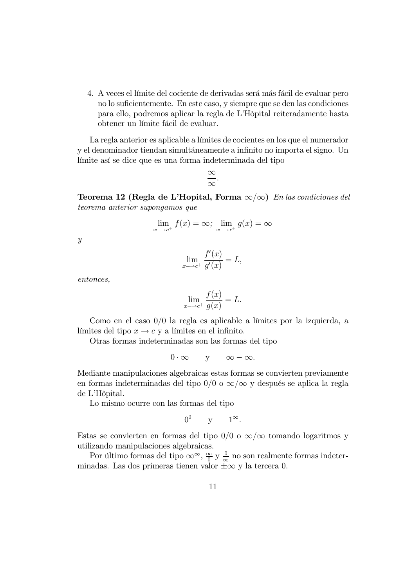4. A yeces el límite del cociente de derivadas será más fácil de evaluar pero no lo suficientemente. En este caso, y siempre que se den las condiciones para ello, podremos aplicar la regla de L'Hôpital reiteradamente hasta obtener un límite fácil de evaluar.

La regla anterior es aplicable a límites de cocientes en los que el numerador y el denominador tiendan simultáneamente a infinito no importa el signo. Un límite así se dice que es una forma indeterminada del tipo

$$
\frac{\infty}{\infty}.
$$

**Teorema 12 (Regla de L'Hopital, Forma**  $\infty/\infty$ ) *En las condiciones del* teorema anterior supongamos que

$$
\lim_{x \to c^{+}} f(x) = \infty; \ \lim_{x \to c^{+}} g(x) = \infty
$$

 $\boldsymbol{y}$ 

$$
\lim_{x \to c^{+}} \frac{f'(x)}{g'(x)} = L,
$$

 $entonces,$ 

$$
\lim_{x \to c^{+}} \frac{f(x)}{g(x)} = L.
$$

Como en el caso  $0/0$  la regla es aplicable a límites por la izquierda, a límites del tipo  $x \to c$  y a límites en el infinito.

Otras formas indeterminadas son las formas del tipo

$$
0 \cdot \infty \qquad y \qquad \infty - \infty.
$$

Mediante manipulaciones algebraicas estas formas se convierten previamente en formas indeterminadas del tipo  $0/0$  o  $\infty/\infty$  y después se aplica la regla de L'Hôpital.

Lo mismo ocurre con las formas del tipo

$$
0^0 \qquad y \qquad 1^{\infty}.
$$

Estas se convierten en formas del tipo  $0/0$  o  $\infty/\infty$  tomando logaritmos y utilizando manipulaciones algebraicas.

Por último formas del tipo  $\infty^{\infty}$ ,  $\frac{\infty}{0}$  y  $\frac{0}{\infty}$  no son realmente formas indeterminadas. Las dos primeras tienen valor  $\pm \infty$  y la tercera 0.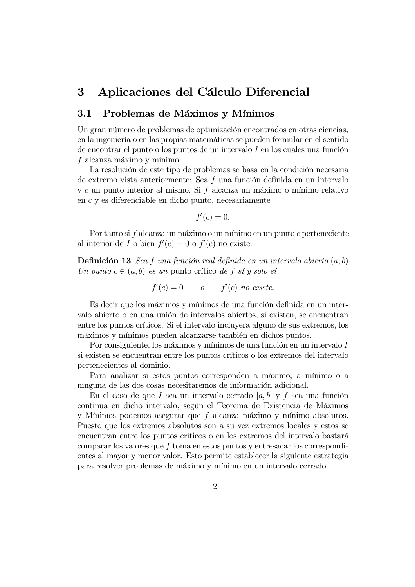## 3 Aplicaciones del Cálculo Diferencial

#### 3.1 Problemas de Máximos y Mínimos

Un gran número de problemas de optimización encontrados en otras ciencias, en la ingeniería o en las propias matemáticas se pueden formular en el sentido de encontrar el punto o los puntos de un intervalo  $I$  en los cuales una función  $f$  alcanza máximo y mínimo.

La resolución de este tipo de problemas se basa en la condición necesaria de extremo vista anteriormente: Sea f una función definida en un intervalo  $y c$  un punto interior al mismo. Si  $f$  alcanza un máximo o mínimo relativo en  $c$  y es diferenciable en dicho punto, necesariamente

$$
f'(c)=0.
$$

Por tanto si  $f$  alcanza un máximo o un mínimo en un punto  $c$  perteneciente al interior de  $I$  o bien  $f'(c) = 0$  o  $f'(c)$  no existe.

**Definición 13** Sea f una función real definida en un intervalo abierto  $(a, b)$ Un punto  $c \in (a, b)$  es un punto crítico de f sí y solo sí

$$
f'(c) = 0 \qquad o \qquad f'(c) \ \text{no \ exists.}
$$

Es decir que los máximos y mínimos de una función definida en un intervalo abierto o en una unión de intervalos abiertos, si existen, se encuentran entre los puntos críticos. Si el intervalo incluyera alguno de sus extremos, los máximos y mínimos pueden alcanzarse también en dichos puntos.

Por consiguiente, los máximos y mínimos de una función en un intervalo  $I$ si existen se encuentran entre los puntos críticos o los extremos del intervalo pertenecientes al dominio.

Para analizar si estos puntos corresponden a máximo, a mínimo o a ninguna de las dos cosas necesitaremos de información adicional.

En el caso de que I sea un intervalo cerrado  $[a, b]$  y f sea una función continua en dicho intervalo, según el Teorema de Existencia de Máximos y Mínimos podemos asegurar que  $f$  alcanza máximo y mínimo absolutos. Puesto que los extremos absolutos son a su vez extremos locales y estos se encuentran entre los puntos críticos o en los extremos del intervalo bastará comparar los valores que  $f$  toma en estos puntos y entresacar los correspondientes al mayor y menor valor. Esto permite establecer la siguiente estrategia para resolver problemas de máximo y mínimo en un intervalo cerrado.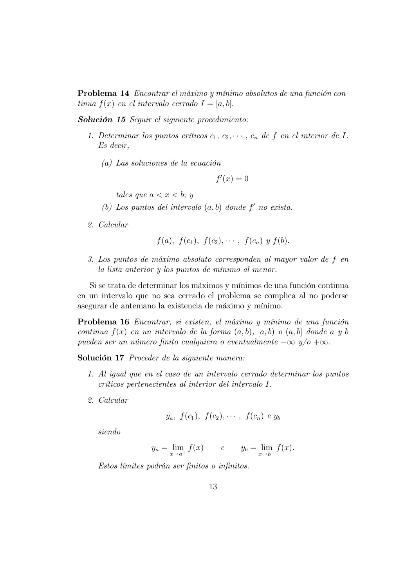**Problema 14** Encontrar el máximo y mínimo absolutos de una función continua  $f(x)$  en el intervalo cerrado  $I = [a, b]$ .

**Solución 15** Seguir el siguiente procedimiento:

- 1. Determinar los puntos críticos  $c_1, c_2, \dots, c_n$  de f en el interior de I.  $Es$  decir,
	- $(a)$  Las soluciones de la ecuación

 $f'(x) = 0$ 

tales que  $a < x < b$ ; y

- (b) Los puntos del intervalo  $(a, b)$  donde  $f'$  no exista.
- 2. Calcular

$$
f(a), f(c_1), f(c_2), \cdots, f(c_n) y f(b).
$$

3. Los puntos de máximo absoluto corresponden al mayor valor de f en la lista anterior y los puntos de mínimo al menor.

Si se trata de determinar los máximos y mínimos de una función continua en un intervalo que no sea cerrado el problema se complica al no poderse asegurar de antemano la existencia de máximo y mínimo.

**Problema 16** Encontrar, si existen, el máximo y mínimo de una función continua  $f(x)$  en un intervalo de la forma  $(a, b)$ ,  $[a, b]$  o  $(a, b]$  donde a y b pueden ser un número finito cualquiera o eventualmente  $-\infty$   $y/o +\infty$ .

Solución 17 Proceder de la siguiente manera:

- 1. Al igual que en el caso de un intervalo cerrado determinar los puntos  $criticos$  pertenecientes al interior del intervalo  $I$ .
- 2. Calcular

$$
y_a
$$
,  $f(c_1)$ ,  $f(c_2)$ ,  $\cdots$ ,  $f(c_n)$  e  $y_b$ 

 $siendo$ 

$$
y_a = \lim_{x \to a^+} f(x)
$$
  $e$   $y_b = \lim_{x \to b^-} f(x)$ .

Estos límites podrán ser finitos o infinitos.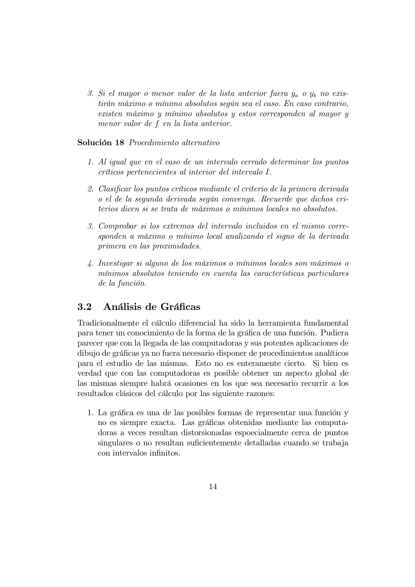3. Si el mayor o menor valor de la lista anterior fuera  $y_a$  o  $y_b$  no existirán máximo o mínimo absolutos según sea el caso. En caso contrario,  $ext{exists} m$  máximo y mínimo absolutos y estos corresponden al mayor y menor valor de  $f$  en la lista anterior.

#### Solución 18 Procedimiento alternativo

- 1. Al igual que en el caso de un intervalo cerrado determinar los puntos críticos pertenecientes al interior del intervalo I.
- 2. Clasificar los puntos críticos mediante el criterio de la primera derivada o el de la segunda derivada según convenga. Recuerde que dichos cri $t$ erios dicen si se trata de máximos o mínimos locales no absolutos.
- 3. Comprobar si los extremos del intervalo incluidos en el mismo corresponden a máximo o mínimo local analizando el signo de la derivada primera en las proximidades.
- 4. Investigar si alguno de los máximos o mínimos locales son máximos o mínimos absolutos teniendo en cuenta las características particulares  $de la función.$

#### 3.2 Análisis de Gráficas

Tradicionalmente el cálculo diferencial ha sido la herramienta fundamental para tener un conocimiento de la forma de la gráfica de una función. Pudiera parecer que con la llegada de las computadoras y sus potentes aplicaciones de dibujo de gráficas ya no fuera necesario disponer de procedimientos analíticos para el estudio de las mismas. Esto no es enteramente cierto. Si bien es yerdad que con las computadoras es posible obtener un aspecto global de las mismas siempre habrá ocasiones en los que sea necesario recurrir a los resultados clásicos del cálculo por las siguiente razones:

1. La gráfica es una de las posibles formas de representar una función y no es siempre exacta. Las gráficas obtenidas mediante las computadoras a yeces resultan distorsionadas espoecialmente cerca de puntos singulares o no resultan suficientemente detalladas cuando se trabaja con intervalos infinitos.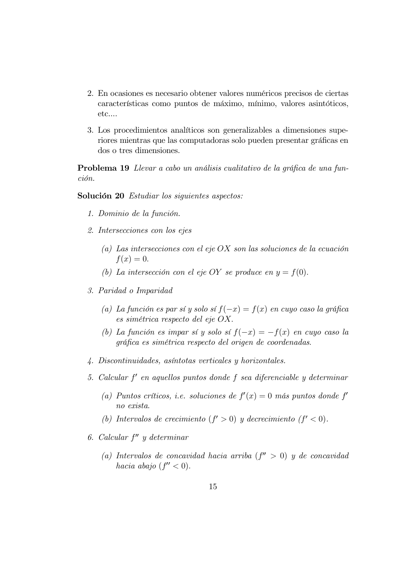- 2. En ocasiones es necesario obtener valores numéricos precisos de ciertas características como puntos de máximo, mínimo, valores asintóticos,  $etc....$
- 3. Los procedimientos analíticos son generalizables a dimensiones superiores mientras que las computadoras solo pueden presentar gráficas en dos o tres dimensiones.

**Problema 19** Llevar a cabo un análisis cualitativo de la gráfica de una función.

Solución 20 Estudiar los siguientes aspectos:

- 1. Dominio de la función.
- 2. Intersecciones con los ejes
	- (a) Las intersecciones con el eje OX son las soluciones de la ecuación  $f(x)=0.$
	- (b) La intersección con el eje OY se produce en  $y = f(0)$ .
- 3. Paridad o Imparidad
	- (a) La función es par sí y solo sí  $f(-x) = f(x)$  en cuyo caso la gráfica es simétrica respecto del eje  $OX$ .
	- (b) La función es impar sí y solo sí  $f(-x) = -f(x)$  en cuyo caso la gráfica es simétrica respecto del origen de coordenadas.
- $4.$  Discontinuidades, asíntotas verticales y horizontales.
- 5. Calcular  $f'$  en aquellos puntos donde  $f$  sea diferenciable  $y$  determinar
	- (a) Puntos críticos, i.e. soluciones de  $f'(x) = 0$  más puntos donde  $f'$ no exista.
	- (b) Intervalos de crecimiento  $(f' > 0)$  y decrecimiento  $(f' < 0)$ .
- 6. Calcular  $f''$  y determinar
	- (a) Intervalos de concavidad hacia arriba  $(f'' > 0)$  y de concavidad hacia abajo  $(f'' < 0)$ .